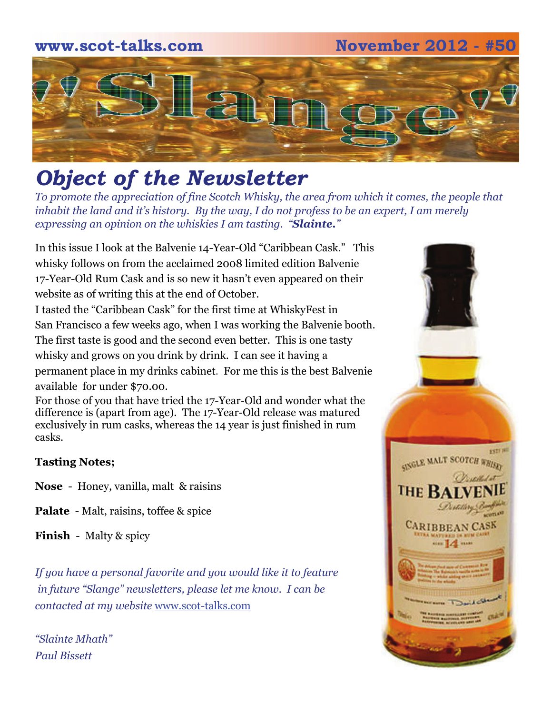### **www.scot-talks.com November 2012 - #50**



# *Object of the Newsletter*

*To promote the appreciation of fine Scotch Whisky, the area from which it comes, the people that inhabit the land and it's history. By the way, I do not profess to be an expert, I am merely expressing an opinion on the whiskies I am tasting. "Slainte."* 

In this issue I look at the Balvenie 14-Year-Old "Caribbean Cask." This whisky follows on from the acclaimed 2008 limited edition Balvenie 17-Year-Old Rum Cask and is so new it hasn't even appeared on their website as of writing this at the end of October.

I tasted the "Caribbean Cask" for the first time at WhiskyFest in San Francisco a few weeks ago, when I was working the Balvenie booth. The first taste is good and the second even better. This is one tasty whisky and grows on you drink by drink. I can see it having a permanent place in my drinks cabinet. For me this is the best Balvenie available for under \$70.00.

For those of you that have tried the 17-Year-Old and wonder what the difference is (apart from age). The 17-Year-Old release was matured exclusively in rum casks, whereas the 14 year is just finished in rum casks.

#### **Tasting Notes;**

- **Nose**  Honey, vanilla, malt & raisins
- **Palate**  Malt, raisins, toffee & spice

**Finish** - Malty & spicy

*If you have a personal favorite and you would like it to feature in future "Slange" newsletters, please let me know. I can be contacted at my website* [www.scot-talks.com](http://www.scot-talks.com/default.html)

*"Slainte Mhath" Paul Bissett*

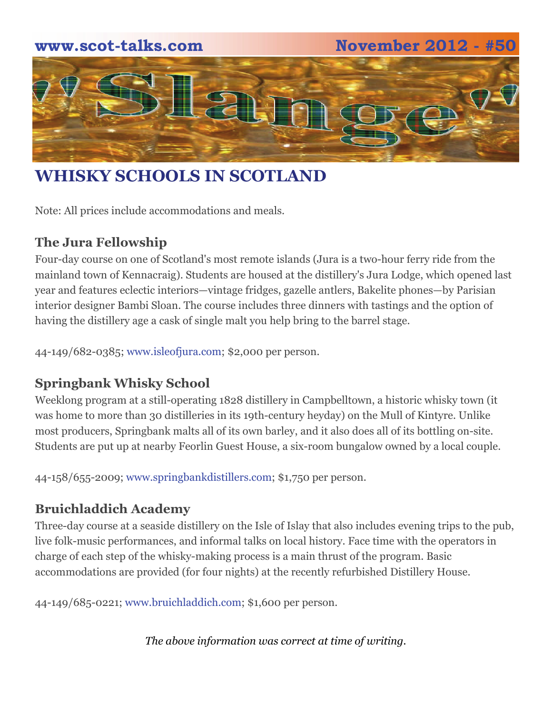# **www.scot-talks.com November 2012 - #50** 21

# **WHISKY SCHOOLS IN SCOTLAND**

Note: All prices include accommodations and meals.

### **The Jura Fellowship**

Four-day course on one of Scotland's most remote islands (Jura is a two-hour ferry ride from the mainland town of Kennacraig). Students are housed at the distillery's Jura Lodge, which opened last year and features eclectic interiors—vintage fridges, gazelle antlers, Bakelite phones—by Parisian interior designer Bambi Sloan. The course includes three dinners with tastings and the option of having the distillery age a cask of single malt you help bring to the barrel stage.

44-149/682-0385; [www.isleofjura.com](http://www.isleofjura.com/); \$2,000 per person.

#### **Springbank Whisky School**

Weeklong program at a still-operating 1828 distillery in Campbelltown, a historic whisky town (it was home to more than 30 distilleries in its 19th-century heyday) on the Mull of Kintyre. Unlike most producers, Springbank malts all of its own barley, and it also does all of its bottling on-site. Students are put up at nearby Feorlin Guest House, a six-room bungalow owned by a local couple.

44-158/655-2009; [www.springbankdistillers.com;](http://www.springbankdistillers.com/) \$1,750 per person.

#### **Bruichladdich Academy**

Three-day course at a seaside distillery on the Isle of Islay that also includes evening trips to the pub, live folk-music performances, and informal talks on local history. Face time with the operators in charge of each step of the whisky-making process is a main thrust of the program. Basic accommodations are provided (for four nights) at the recently refurbished Distillery House.

44-149/685-0221; [www.bruichladdich.com;](http://www.bruichladdich.com/) \$1,600 per person.

*The above information was correct at time of writing.*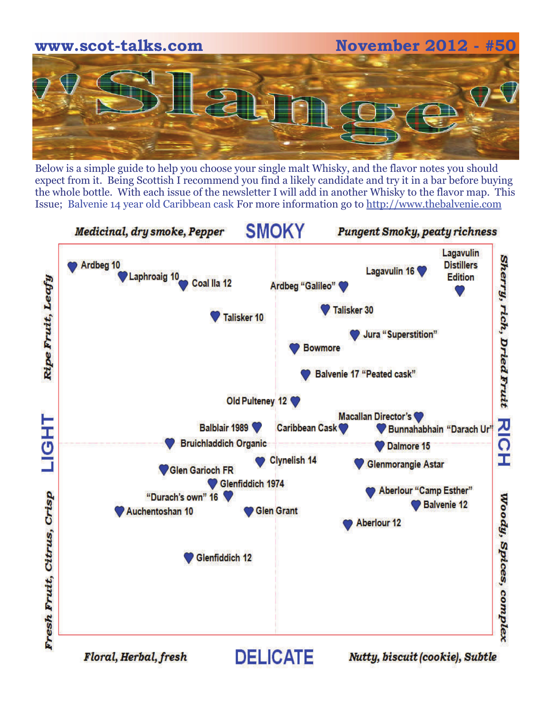

Below is a simple guide to help you choose your single malt Whisky, and the flavor notes you should expect from it. Being Scottish I recommend you find a likely candidate and try it in a bar before buying the whole bottle. With each issue of the newsletter I will add in another Whisky to the flavor map. This Issue; Balvenie 14 year old Caribbean cask For more information go to [http://www.thebalvenie.com](http://www.thebalvenie.com/)